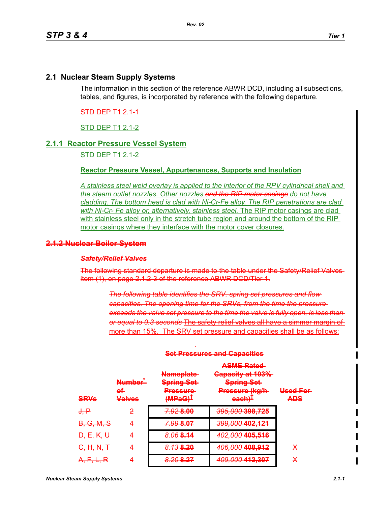## **2.1 Nuclear Steam Supply Systems**

The information in this section of the reference ABWR DCD, including all subsections, tables, and figures, is incorporated by reference with the following departure.

### STD DEP T1 2.1-1

# STD DEP T1 2.1-2

### **2.1.1 Reactor Pressure Vessel System**

STD DEP T1 2.1-2

# **Reactor Pressure Vessel, Appurtenances, Supports and Insulation**

*A stainless steel weld overlay is applied to the interior of the RPV cylindrical shell and the steam outlet nozzles. Other nozzles and the RIP motor casings do not have cladding. The bottom head is clad with Ni-Cr-Fe alloy. The RIP penetrations are clad with Ni-Cr- Fe alloy or, alternatively, stainless steel.* The RIP motor casings are clad with stainless steel only in the stretch tube region and around the bottom of the RIP motor casings where they interface with the motor cover closures.

#### **2.1.2 Nuclear Boiler System**

#### *Safety/Relief Valves*

The following standard departure is made to the table under the Safety/Relief Valves item (1), on page 2.1.2-3 of the reference ABWR DCD/Tier 1.

> *The following table identifies the SRV. spring set pressures and flow capacities. The opening time for the SRVs, from the time the pressure*  exceeds the valve set pressure to the time the valve is fully open, is less than *or equal to 0.3 seconds* The safety relief valves all have a simmer margin of more than 15%. The SRV set pressure and capacities shall be as follows:

| <b>CDV<sub>c</sub></b><br><b>CARD AND</b> | <b>Number</b><br>e£<br>عميباملا<br><b>MARINEZO</b> | <u>Namoniato</u><br><b>NGHI UPIGU</b><br><b>Carina Cat</b><br>оргод сест<br><b>Draccura</b><br><b>THE RANGE AND RESIDENT</b><br>IMDAC1<br><del>min ao j</del> | <b>ASME Rated</b><br><u> Canacity at 1020/</u><br><del>oupuony di 100%</del><br><b>Carina Cot</b><br>оршцу сос<br>Droceuro (kalh<br><del>mooouto (ng/m</del><br>لحدماهمهم<br><b>VERTH</b>                                    | <u>Llead Ear</u><br>アステステステ 中国 アイエ<br>ADC<br>$-1-1$ |
|-------------------------------------------|----------------------------------------------------|---------------------------------------------------------------------------------------------------------------------------------------------------------------|------------------------------------------------------------------------------------------------------------------------------------------------------------------------------------------------------------------------------|-----------------------------------------------------|
| <del>J, P</del>                           | 2                                                  | <b>2028 00</b><br><b>THE PERSON WAS</b>                                                                                                                       | 205 000 <b>208 725</b><br>$\overline{U}$ $\overline{U}$ $\overline{U}$ $\overline{U}$ $\overline{U}$ $\overline{U}$ $\overline{U}$ $\overline{U}$ $\overline{U}$ $\overline{U}$ $\overline{U}$ $\overline{U}$ $\overline{U}$ |                                                     |
| <del>B, G, M, S</del>                     | 4                                                  | <b>7.00.8.07</b><br><del>7.99 o.or</del>                                                                                                                      | 200 000 1 <b>02 121</b><br>UUU,UUU TUERTET                                                                                                                                                                                   |                                                     |
| <del>D, E, K, U</del>                     | 4                                                  | $9.06914$<br><del>0.00 o.i +</del>                                                                                                                            | $\lambda$ 00 000 105 516<br>$TOZ, COO = TOQ, OTO$                                                                                                                                                                            |                                                     |
| H N T<br><del>0, 11, 11, 1</del>          | 4                                                  | <u>R 12 R 20</u><br><del>0. IO onew</del>                                                                                                                     | <u>ANG NAN ANG AAD</u><br>$TOV, COV, TOV, OV = 1$                                                                                                                                                                            | X                                                   |
| EI D<br>75. T. T. T. T.                   |                                                    | 2.20. <b>2.27</b><br><b>WASHINGTON</b>                                                                                                                        | 200 000 112 207<br>$100,000$ in Equal                                                                                                                                                                                        | X                                                   |

*.*

#### **Set Pressures and Capacities**